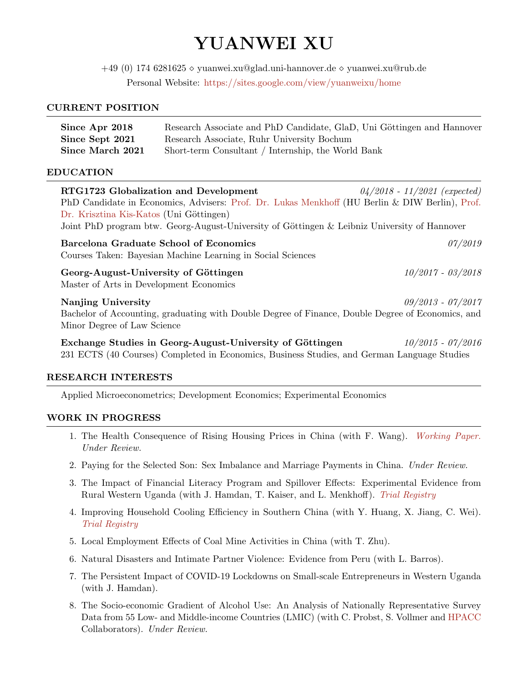# YUANWEI XU

 $+49$  (0) 174 6281625  $\diamond$  yuanwei.xu@glad.uni-hannover.de  $\diamond$  yuanwei.xu@rub.de Personal Website: <https://sites.google.com/view/yuanweixu/home>

## CURRENT POSITION

| Since Apr 2018   | Research Associate and PhD Candidate, GlaD, Uni Göttingen and Hannover |
|------------------|------------------------------------------------------------------------|
| Since Sept 2021  | Research Associate, Ruhr University Bochum                             |
| Since March 2021 | Short-term Consultant / Internship, the World Bank                     |

## EDUCATION

| RTG1723 Globalization and Development<br>PhD Candidate in Economics, Advisers: Prof. Dr. Lukas Menkhoff (HU Berlin & DIW Berlin), Prof.<br>Dr. Krisztina Kis-Katos (Uni Göttingen)<br>Joint PhD program btw. Georg-August-University of Göttingen & Leibniz University of Hannover | $04/2018 - 11/2021$ (expected) |
|------------------------------------------------------------------------------------------------------------------------------------------------------------------------------------------------------------------------------------------------------------------------------------|--------------------------------|
| Barcelona Graduate School of Economics<br>Courses Taken: Bayesian Machine Learning in Social Sciences                                                                                                                                                                              | 07/2019                        |
| Georg-August-University of Göttingen<br>Master of Arts in Development Economics                                                                                                                                                                                                    | $10/2017 - 03/2018$            |
| $09/2013 - 07/2017$<br>Nanjing University<br>Bachelor of Accounting, graduating with Double Degree of Finance, Double Degree of Economics, and<br>Minor Degree of Law Science                                                                                                      |                                |
| Exchange Studies in Georg-August-University of Göttingen<br>231 ECTS (40 Courses) Completed in Economics, Business Studies, and German Language Studies                                                                                                                            | $10/2015 - 07/2016$            |

## RESEARCH INTERESTS

Applied Microeconometrics; Development Economics; Experimental Economics

## WORK IN PROGRESS

- 1. The Health Consequence of Rising Housing Prices in China (with F. Wang). [Working Paper.](http://wwwuser.gwdg.de/~cege/Diskussionspapiere/DP403.pdf) Under Review.
- 2. Paying for the Selected Son: Sex Imbalance and Marriage Payments in China. Under Review.
- 3. The Impact of Financial Literacy Program and Spillover Effects: Experimental Evidence from Rural Western Uganda (with J. Hamdan, T. Kaiser, and L. Menkhoff). [Trial Registry](https://www.socialscienceregistry.org/trials/6407)
- 4. Improving Household Cooling Efficiency in Southern China (with Y. Huang, X. Jiang, C. Wei). [Trial Registry](https://www.socialscienceregistry.org/trials/8230)
- 5. Local Employment Effects of Coal Mine Activities in China (with T. Zhu).
- 6. Natural Disasters and Intimate Partner Violence: Evidence from Peru (with L. Barros).
- 7. The Persistent Impact of COVID-19 Lockdowns on Small-scale Entrepreneurs in Western Uganda (with J. Hamdan).
- 8. The Socio-economic Gradient of Alcohol Use: An Analysis of Nationally Representative Survey Data from 55 Low- and Middle-income Countries (LMIC) (with C. Probst, S. Vollmer and [HPACC](https://www.hsph.harvard.edu/global-health-and-population/ghp-project-on-access-to-care-for-cardiometabolic-diseases-hpacc/) Collaborators). Under Review.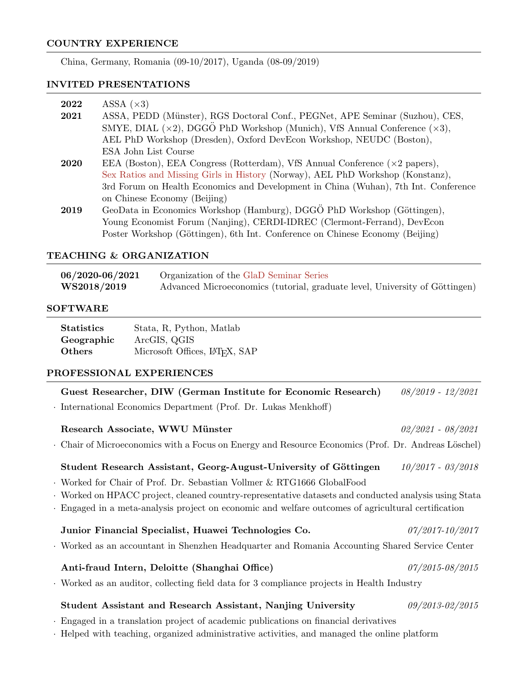## COUNTRY EXPERIENCE

China, Germany, Romania (09-10/2017), Uganda (08-09/2019)

## INVITED PRESENTATIONS

| 2022        | ASSA $(\times 3)$                                                                          |
|-------------|--------------------------------------------------------------------------------------------|
| 2021        | ASSA, PEDD (Münster), RGS Doctoral Conf., PEGNet, APE Seminar (Suzhou), CES,               |
|             | SMYE, DIAL $(\times 2)$ , DGGO PhD Workshop (Munich), VfS Annual Conference $(\times 3)$ , |
|             | AEL PhD Workshop (Dresden), Oxford DevEcon Workshop, NEUDC (Boston),                       |
|             | ESA John List Course                                                                       |
| <b>2020</b> | EEA (Boston), EEA Congress (Rotterdam), VfS Annual Conference $(\times 2$ papers),         |
|             | Sex Ratios and Missing Girls in History (Norway), AEL PhD Workshop (Konstanz),             |
|             | 3rd Forum on Health Economics and Development in China (Wuhan), 7th Int. Conference        |
|             | on Chinese Economy (Beijing)                                                               |
| 2019        | GeoData in Economics Workshop (Hamburg), DGGÖ PhD Workshop (Göttingen),                    |
|             | Young Economist Forum (Nanjing), CERDI-IDREC (Clermont-Ferrand), DevEcon                   |
|             | Poster Workshop (Göttingen), 6th Int. Conference on Chinese Economy (Beijing)              |

## TEACHING & ORGANIZATION

| 06/2020-06/2021    | Organization of the GlaD Seminar Series                                     |  |
|--------------------|-----------------------------------------------------------------------------|--|
| <b>WS2018/2019</b> | Advanced Microeconomics (tutorial, graduate level, University of Göttingen) |  |

## SOFTWARE

| <b>Statistics</b> | Stata, R, Python, Matlab                   |
|-------------------|--------------------------------------------|
| Geographic        | ArcGIS, QGIS                               |
| Others            | Microsoft Offices, LAT <sub>F</sub> X, SAP |

## PROFESSIONAL EXPERIENCES

| Guest Researcher, DIW (German Institute for Economic Research)  | 08/2019 - 12/2021 |
|-----------------------------------------------------------------|-------------------|
| · International Economics Department (Prof. Dr. Lukas Menkhoff) |                   |

| Research Associate, WWU Münster                                                                   |  | 02/2021 - 08/2021 |  |
|---------------------------------------------------------------------------------------------------|--|-------------------|--|
| Chair of Microeconomics with a Focus on Energy and Resource Economics (Prof. Dr. Andreas Löschel) |  |                   |  |

## Student Research Assistant, Georg-August-University of Göttingen  $10/2017$  - 03/2018

- · Worked for Chair of Prof. Dr. Sebastian Vollmer & RTG1666 GlobalFood
- · Worked on HPACC project, cleaned country-representative datasets and conducted analysis using Stata
- · Engaged in a meta-analysis project on economic and welfare outcomes of agricultural certification

## Junior Financial Specialist, Huawei Technologies Co. 07/2017-10/2017

· Worked as an accountant in Shenzhen Headquarter and Romania Accounting Shared Service Center

## Anti-fraud Intern, Deloitte (Shanghai Office)  $07/2015-08/2015$

· Worked as an auditor, collecting field data for 3 compliance projects in Health Industry

## Student Assistant and Research Assistant, Nanjing University 09/2013-02/2015

- · Engaged in a translation project of academic publications on financial derivatives
- · Helped with teaching, organized administrative activities, and managed the online platform